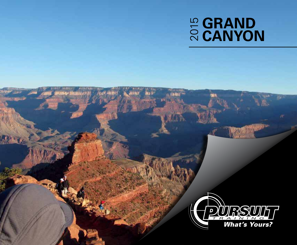# **E GRAND<br>© CANYON**

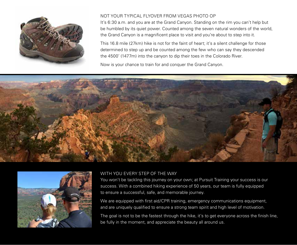

# NOT YOUR TYPICAL FLYOVER FROM VEGAS PHOTO OP

It's 6:30 a.m. and you are at the Grand Canyon. Standing on the rim you can't help but be humbled by its quiet power. Counted among the seven natural wonders of the world, the Grand Canyon is a magnificent place to visit and you're about to step into it.

This 16.8 mile (27km) hike is not for the faint of heart; it's a silent challenge for those determined to step up and be counted among the few who can say they descended the 4500' (1477m) into the canyon to dip their toes in the Colorado River.

Now is your chance to train for and conquer the Grand Canyon.





# WITH YOU EVERY STEP OF THE WAY

You won't be tackling this journey on your own; at Pursuit Training your success is our success. With a combined hiking experience of 50 years, our team is fully equipped to ensure a successful, safe, and memorable journey.

We are equipped with first aid/CPR training, emergency communications equipment, and are uniquely qualified to ensure a strong team spirit and high level of motivation.

The goal is not to be the fastest through the hike, it's to get everyone across the finish line, be fully in the moment, and appreciate the beauty all around us.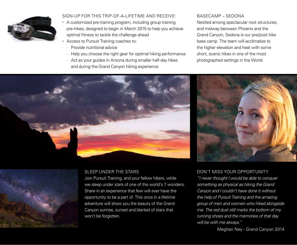

# SIGN-UP FOR THIS TRIP-OF-A-LIFETIME AND RECEIVE:

- A customized pre-training program, including group training pre-hikes, designed to begin in March 2015 to help you achieve optimal fitness to tackle the challenge ahead
- Access to Pursuit Training coaches to:
	- Provide nutritional advice
	- Help you choose the right gear for optimal hiking performance
	- Act as your guides in Arizona during smaller half-day hikes and during the Grand Canyon hiking experience

#### BASECAMP – SEDONA

Nestled among spectacular rock structures, and midway between Phoenix and the Grand Canyon, Sedona is our pre/post hike base camp. The team will acclimatize to the higher elevation and heat with some short, scenic hikes in one of the most photographed settings in the World.







Join Pursuit Training, and your fellow hikers, while we sleep under stars of one of the world's 7 wonders. Share in an experience that few will ever have the opportunity to be a part of. This once in a lifetime adventure will show you the beauty of the Grand Canyon sunrise, sunset and blanket of stars that won't be forgotten.

# DON'T MISS YOUR OPPORTUNITY

*"I never thought I would be able to conquer something as physical as hiking the Grand Canyon and I couldn't have done it without the help of Pursuit Training and the amazing group of men and women who hiked alongside me. The red dust still marks the bottom of my running shoes and the memories of that day will be with me always."*

Meghan Ney - Grand Canyon 2014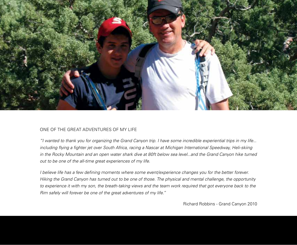

#### ONE OF THE GREAT ADVENTURES OF MY LIFE

*"I wanted to thank you for organizing the Grand Canyon trip. I have some incredible experiential trips in my life... including flying a fighter jet over South Africa, racing a Nascar at Michigan International Speedway, Heli-skiing*  in the Rocky Mountain and an open water shark dive at 80ft below sea level...and the Grand Canyon hike turned *out to be one of the all-time great experiences of my life.* 

*I believe life has a few defining moments where some event/experience changes you for the better forever. Hiking the Grand Canyon has turned out to be one of those. The physical and mental challenge, the opportunity*  to experience it with my son, the breath-taking views and the team work required that got everyone back to the *Rim safely will forever be one of the great adventures of my life."*

Richard Robbins - Grand Canyon 2010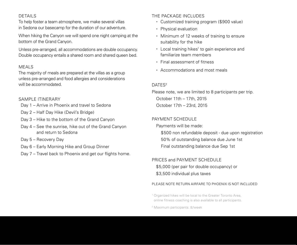# DETAILS

To help foster a team atmosphere, we make several villas in Sedona our basecamp for the duration of our adventure.

When hiking the Canyon we will spend one night camping at the bottom of the Grand Canyon.

Unless pre-arranged, all accommodations are double occupancy. Double occupancy entails a shared room and shared queen bed.

#### MEALS

The majority of meals are prepared at the villas as a group unless pre-arranged and food allergies and considerations will be accommodated.

#### SAMPLE ITINERARY

- Day 1 Arrive in Phoenix and travel to Sedona
- Day 2 Half Day Hike (Devil's Bridge)
- Day 3 Hike to the bottom of the Grand Canyon
- Day 4 See the sunrise, hike out of the Grand Canyon and return to Sedona
- Day 5 Recovery Day
- Day 6 Early Morning Hike and Group Dinner
- Day 7 Travel back to Phoenix and get our flights home.

#### THE PACKAGE INCLUDES

- Customized training program (\$900 value)
- Physical evaluation
- Minimum of 12 weeks of training to ensure suitability for the hike
- Local training hikes<sup>1</sup> to gain experience and familiarize team members
- Final assessment of fitness
- Accommodations and most meals

#### DATES<sup>2</sup>

Please note, we are limited to 8 participants per trip. October 11th – 17th, 2015 October 17th – 23rd, 2015

#### PAYMENT SCHEDULE

Payments will be made: \$500 non refundable deposit - due upon registration 50% of outstanding balance due June 1st Final outstanding balance due Sep 1st

#### PRICES and PAYMENT SCHEDULE

\$5,000 (per pair for double occupancy) or \$3,500 individual plus taxes

#### PLEASE NOTE RETURN AIRFARE TO PHOENIX IS NOT INCLUDED

<sup>1</sup> Organized hikes will be local to the Greater Toronto Area, online fitness coaching is also available to all participants.

2 Maximum participants: 8/week